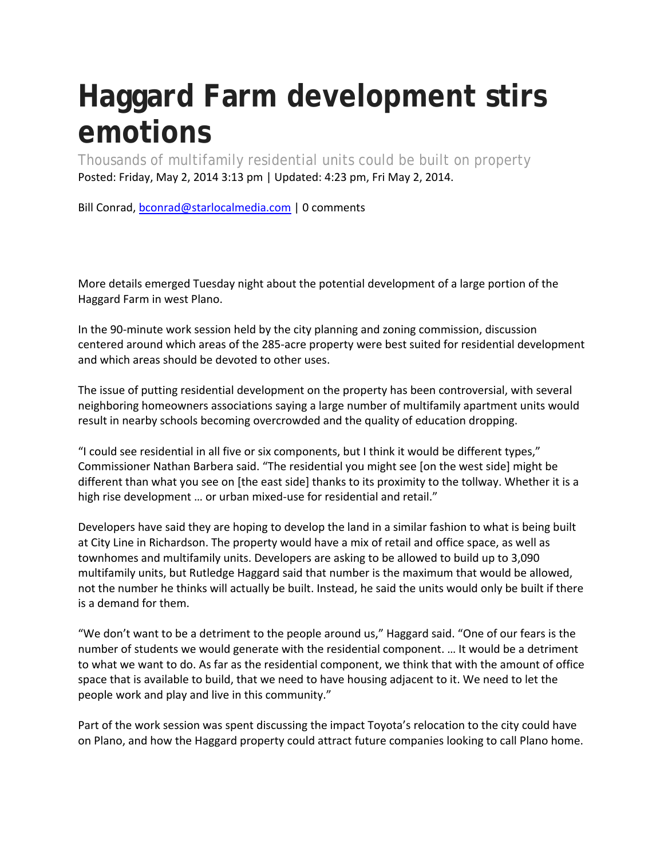## **Haggard Farm development stirs emotions**

Thousands of multifamily residential units could be built on property Posted: Friday, May 2, 2014 3:13 pm | Updated: 4:23 pm, Fri May 2, 2014.

Bill Conrad, bconrad@starlocalmedia.com | 0 comments

More details emerged Tuesday night about the potential development of a large portion of the Haggard Farm in west Plano.

In the 90-minute work session held by the city planning and zoning commission, discussion centered around which areas of the 285-acre property were best suited for residential development and which areas should be devoted to other uses.

The issue of putting residential development on the property has been controversial, with several neighboring homeowners associations saying a large number of multifamily apartment units would result in nearby schools becoming overcrowded and the quality of education dropping.

"I could see residential in all five or six components, but I think it would be different types," Commissioner Nathan Barbera said. "The residential you might see [on the west side] might be different than what you see on [the east side] thanks to its proximity to the tollway. Whether it is a high rise development … or urban mixed-use for residential and retail."

Developers have said they are hoping to develop the land in a similar fashion to what is being built at City Line in Richardson. The property would have a mix of retail and office space, as well as townhomes and multifamily units. Developers are asking to be allowed to build up to 3,090 multifamily units, but Rutledge Haggard said that number is the maximum that would be allowed, not the number he thinks will actually be built. Instead, he said the units would only be built if there is a demand for them.

"We don't want to be a detriment to the people around us," Haggard said. "One of our fears is the number of students we would generate with the residential component. … It would be a detriment to what we want to do. As far as the residential component, we think that with the amount of office space that is available to build, that we need to have housing adjacent to it. We need to let the people work and play and live in this community."

Part of the work session was spent discussing the impact Toyota's relocation to the city could have on Plano, and how the Haggard property could attract future companies looking to call Plano home.